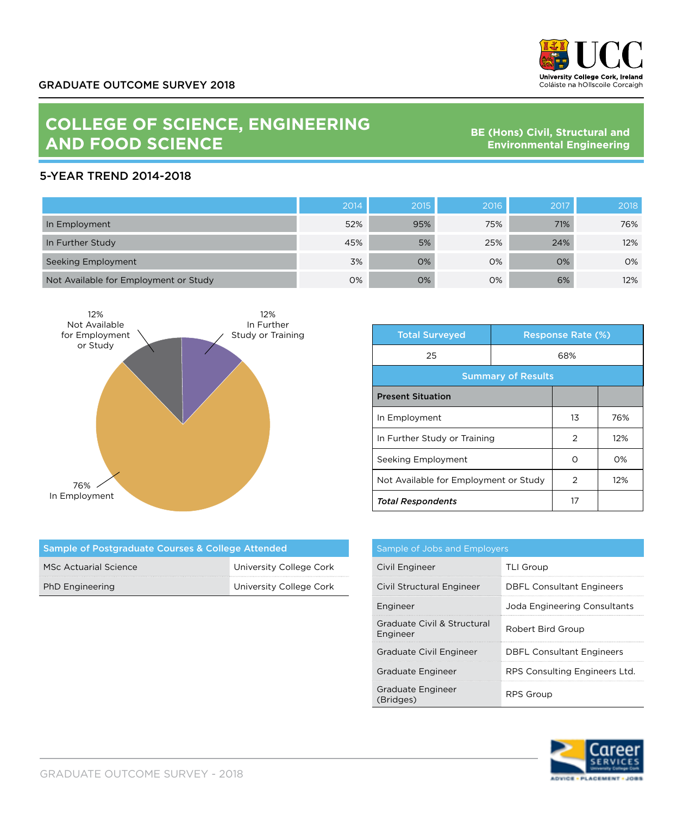

## **COLLEGE OF SCIENCE, ENGINEERING AND FOOD SCIENCE**

**BE (Hons) Civil, Structural and Environmental Engineering**

## 5-YEAR TREND 2014-2018

|                                       | 2014 | 2015 | 2016 | 2017 | 2018 |
|---------------------------------------|------|------|------|------|------|
| In Employment                         | 52%  | 95%  | 75%  | 71%  | 76%  |
| In Further Study                      | 45%  | 5%   | 25%  | 24%  | 12%  |
| Seeking Employment                    | 3%   | 0%   | 0%   | 0%   | 0%   |
| Not Available for Employment or Study | 0%   | 0%   | 0%   | 6%   | 12%  |



| <b>Total Surveyed</b>                 |     | <b>Response Rate (%)</b> |     |
|---------------------------------------|-----|--------------------------|-----|
| 25                                    | 68% |                          |     |
| <b>Summary of Results</b>             |     |                          |     |
| <b>Present Situation</b>              |     |                          |     |
| In Employment                         |     | 13                       | 76% |
| In Further Study or Training          |     | 2                        | 12% |
| Seeking Employment                    |     | ∩                        | O%  |
| Not Available for Employment or Study |     | 2                        | 12% |
| <b>Total Respondents</b>              |     | 17                       |     |

| Sample of Postgraduate Courses & College Attended |                         |  |
|---------------------------------------------------|-------------------------|--|
| <b>MSc Actuarial Science</b>                      | University College Cork |  |
| <b>PhD Engineering</b>                            | University College Cork |  |

| Sample of Jobs and Employers            |                                  |  |
|-----------------------------------------|----------------------------------|--|
| Civil Engineer                          | <b>TLI Group</b>                 |  |
| Civil Structural Engineer               | <b>DBFL Consultant Engineers</b> |  |
| Engineer                                | Joda Engineering Consultants     |  |
| Graduate Civil & Structural<br>Engineer | Robert Bird Group                |  |
| Graduate Civil Engineer                 | <b>DBFL Consultant Engineers</b> |  |
| Graduate Engineer                       | RPS Consulting Engineers Ltd.    |  |
| Graduate Engineer<br>(Bridges)          | RPS Group                        |  |